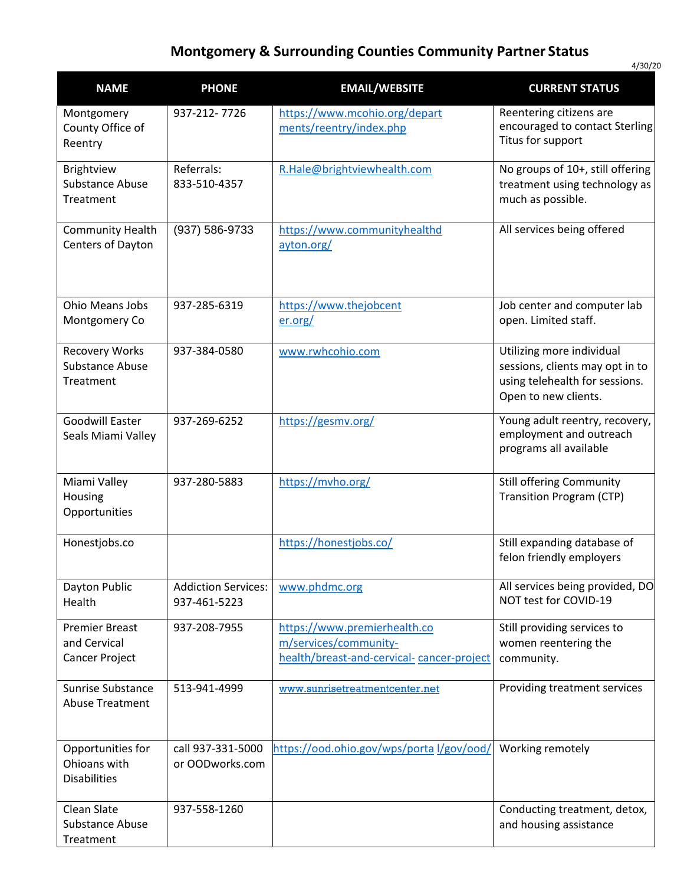## **Montgomery & Surrounding Counties Community Partner Status**

| <b>NAME</b>                                              | <b>PHONE</b>                               | <b>EMAIL/WEBSITE</b>                                                                               | <b>CURRENT STATUS</b>                                                                                                  |
|----------------------------------------------------------|--------------------------------------------|----------------------------------------------------------------------------------------------------|------------------------------------------------------------------------------------------------------------------------|
| Montgomery<br>County Office of<br>Reentry                | 937-212-7726                               | https://www.mcohio.org/depart<br>ments/reentry/index.php                                           | Reentering citizens are<br>encouraged to contact Sterling<br>Titus for support                                         |
| Brightview<br><b>Substance Abuse</b><br>Treatment        | Referrals:<br>833-510-4357                 | R.Hale@brightviewhealth.com                                                                        | No groups of 10+, still offering<br>treatment using technology as<br>much as possible.                                 |
| <b>Community Health</b><br>Centers of Dayton             | (937) 586-9733                             | https://www.communityhealthd<br>ayton.org/                                                         | All services being offered                                                                                             |
| Ohio Means Jobs<br>Montgomery Co                         | 937-285-6319                               | https://www.thejobcent<br>er.org/                                                                  | Job center and computer lab<br>open. Limited staff.                                                                    |
| <b>Recovery Works</b><br>Substance Abuse<br>Treatment    | 937-384-0580                               | www.rwhcohio.com                                                                                   | Utilizing more individual<br>sessions, clients may opt in to<br>using telehealth for sessions.<br>Open to new clients. |
| <b>Goodwill Easter</b><br>Seals Miami Valley             | 937-269-6252                               | https://gesmv.org/                                                                                 | Young adult reentry, recovery,<br>employment and outreach<br>programs all available                                    |
| Miami Valley<br>Housing<br>Opportunities                 | 937-280-5883                               | https://mvho.org/                                                                                  | <b>Still offering Community</b><br><b>Transition Program (CTP)</b>                                                     |
| Honestjobs.co                                            |                                            | https://honestjobs.co/                                                                             | Still expanding database of<br>felon friendly employers                                                                |
| Dayton Public<br>Health                                  | <b>Addiction Services:</b><br>937-461-5223 | www.phdmc.org                                                                                      | All services being provided, DO<br>NOT test for COVID-19                                                               |
| <b>Premier Breast</b><br>and Cervical<br>Cancer Project  | 937-208-7955                               | https://www.premierhealth.co<br>m/services/community-<br>health/breast-and-cervical-cancer-project | Still providing services to<br>women reentering the<br>community.                                                      |
| <b>Sunrise Substance</b><br><b>Abuse Treatment</b>       | 513-941-4999                               | www.sunrisetreatmentcenter.net                                                                     | Providing treatment services                                                                                           |
| Opportunities for<br>Ohioans with<br><b>Disabilities</b> | call 937-331-5000<br>or OODworks.com       | https://ood.ohio.gov/wps/portal/gov/ood/                                                           | Working remotely                                                                                                       |
| Clean Slate<br><b>Substance Abuse</b><br>Treatment       | 937-558-1260                               |                                                                                                    | Conducting treatment, detox,<br>and housing assistance                                                                 |

4/30/20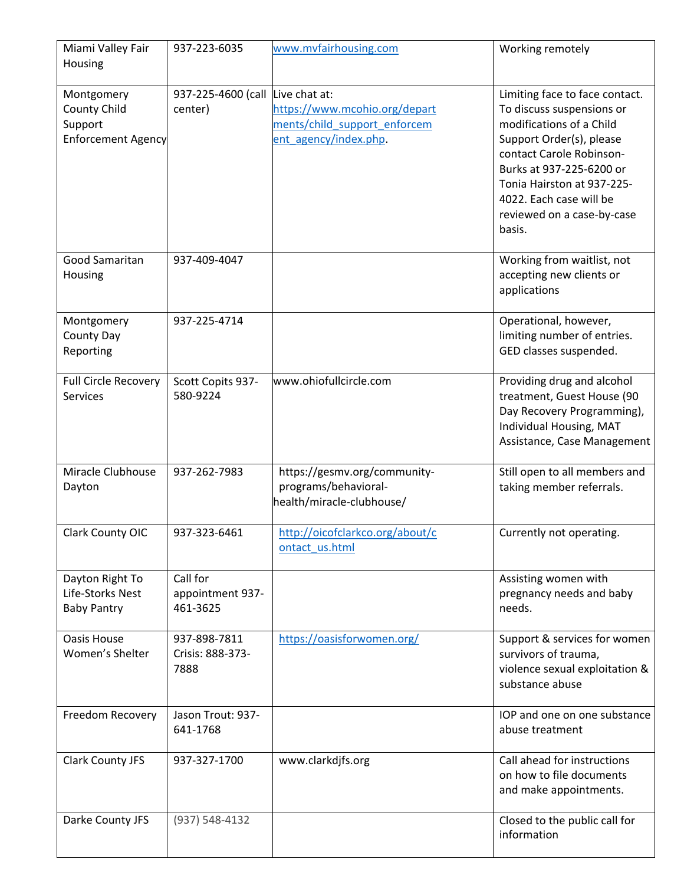| Miami Valley Fair<br>Housing                                       | 937-223-6035                             | www.mvfairhousing.com                                                                                   | Working remotely                                                                                                                                                                                                                                                             |
|--------------------------------------------------------------------|------------------------------------------|---------------------------------------------------------------------------------------------------------|------------------------------------------------------------------------------------------------------------------------------------------------------------------------------------------------------------------------------------------------------------------------------|
| Montgomery<br>County Child<br>Support<br><b>Enforcement Agency</b> | 937-225-4600 (call<br>center)            | Live chat at:<br>https://www.mcohio.org/depart<br>ments/child support enforcem<br>ent agency/index.php. | Limiting face to face contact.<br>To discuss suspensions or<br>modifications of a Child<br>Support Order(s), please<br>contact Carole Robinson-<br>Burks at 937-225-6200 or<br>Tonia Hairston at 937-225-<br>4022. Each case will be<br>reviewed on a case-by-case<br>basis. |
| Good Samaritan<br>Housing                                          | 937-409-4047                             |                                                                                                         | Working from waitlist, not<br>accepting new clients or<br>applications                                                                                                                                                                                                       |
| Montgomery<br>County Day<br>Reporting                              | 937-225-4714                             |                                                                                                         | Operational, however,<br>limiting number of entries.<br>GED classes suspended.                                                                                                                                                                                               |
| <b>Full Circle Recovery</b><br>Services                            | Scott Copits 937-<br>580-9224            | www.ohiofullcircle.com                                                                                  | Providing drug and alcohol<br>treatment, Guest House (90<br>Day Recovery Programming),<br>Individual Housing, MAT<br>Assistance, Case Management                                                                                                                             |
| Miracle Clubhouse<br>Dayton                                        | 937-262-7983                             | https://gesmv.org/community-<br>programs/behavioral-<br>health/miracle-clubhouse/                       | Still open to all members and<br>taking member referrals.                                                                                                                                                                                                                    |
| Clark County OIC                                                   | 937-323-6461                             | http://oicofclarkco.org/about/c<br>ontact us.html                                                       | Currently not operating.                                                                                                                                                                                                                                                     |
| Dayton Right To<br>Life-Storks Nest<br><b>Baby Pantry</b>          | Call for<br>appointment 937-<br>461-3625 |                                                                                                         | Assisting women with<br>pregnancy needs and baby<br>needs.                                                                                                                                                                                                                   |
| Oasis House<br>Women's Shelter                                     | 937-898-7811<br>Crisis: 888-373-<br>7888 | https://oasisforwomen.org/                                                                              | Support & services for women<br>survivors of trauma,<br>violence sexual exploitation &<br>substance abuse                                                                                                                                                                    |
| Freedom Recovery                                                   | Jason Trout: 937-<br>641-1768            |                                                                                                         | IOP and one on one substance<br>abuse treatment                                                                                                                                                                                                                              |
| Clark County JFS                                                   | 937-327-1700                             | www.clarkdjfs.org                                                                                       | Call ahead for instructions<br>on how to file documents<br>and make appointments.                                                                                                                                                                                            |
| Darke County JFS                                                   | (937) 548-4132                           |                                                                                                         | Closed to the public call for<br>information                                                                                                                                                                                                                                 |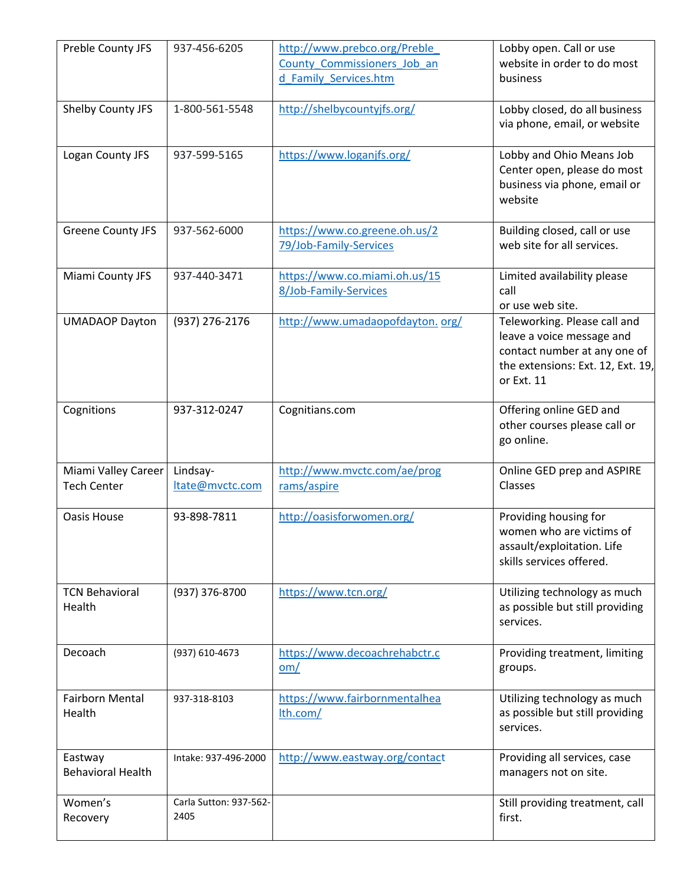| Preble County JFS                         | 937-456-6205                   | http://www.prebco.org/Preble<br>County Commissioners Job an<br>d Family Services.htm | Lobby open. Call or use<br>website in order to do most<br>business                                                                           |
|-------------------------------------------|--------------------------------|--------------------------------------------------------------------------------------|----------------------------------------------------------------------------------------------------------------------------------------------|
| Shelby County JFS                         | 1-800-561-5548                 | http://shelbycountyjfs.org/                                                          | Lobby closed, do all business<br>via phone, email, or website                                                                                |
| Logan County JFS                          | 937-599-5165                   | https://www.loganjfs.org/                                                            | Lobby and Ohio Means Job<br>Center open, please do most<br>business via phone, email or<br>website                                           |
| <b>Greene County JFS</b>                  | 937-562-6000                   | https://www.co.greene.oh.us/2<br>79/Job-Family-Services                              | Building closed, call or use<br>web site for all services.                                                                                   |
| Miami County JFS                          | 937-440-3471                   | https://www.co.miami.oh.us/15<br>8/Job-Family-Services                               | Limited availability please<br>call<br>or use web site.                                                                                      |
| <b>UMADAOP Dayton</b>                     | (937) 276-2176                 | http://www.umadaopofdayton.org/                                                      | Teleworking. Please call and<br>leave a voice message and<br>contact number at any one of<br>the extensions: Ext. 12, Ext. 19,<br>or Ext. 11 |
| Cognitions                                | 937-312-0247                   | Cognitians.com                                                                       | Offering online GED and<br>other courses please call or<br>go online.                                                                        |
| Miami Valley Career<br><b>Tech Center</b> | Lindsay-<br>ltate@mvctc.com    | http://www.mvctc.com/ae/prog<br>rams/aspire                                          | Online GED prep and ASPIRE<br>Classes                                                                                                        |
| <b>Oasis House</b>                        | 93-898-7811                    | http://oasisforwomen.org/                                                            | Providing housing for<br>women who are victims of<br>assault/exploitation. Life<br>skills services offered.                                  |
| <b>TCN Behavioral</b><br>Health           | (937) 376-8700                 | https://www.tcn.org/                                                                 | Utilizing technology as much<br>as possible but still providing<br>services.                                                                 |
| Decoach                                   | (937) 610-4673                 | https://www.decoachrehabctr.c<br>om/                                                 | Providing treatment, limiting<br>groups.                                                                                                     |
| <b>Fairborn Mental</b><br>Health          | 937-318-8103                   | https://www.fairbornmentalhea<br>lth.com/                                            | Utilizing technology as much<br>as possible but still providing<br>services.                                                                 |
| Eastway<br><b>Behavioral Health</b>       | Intake: 937-496-2000           | http://www.eastway.org/contact                                                       | Providing all services, case<br>managers not on site.                                                                                        |
| Women's<br>Recovery                       | Carla Sutton: 937-562-<br>2405 |                                                                                      | Still providing treatment, call<br>first.                                                                                                    |